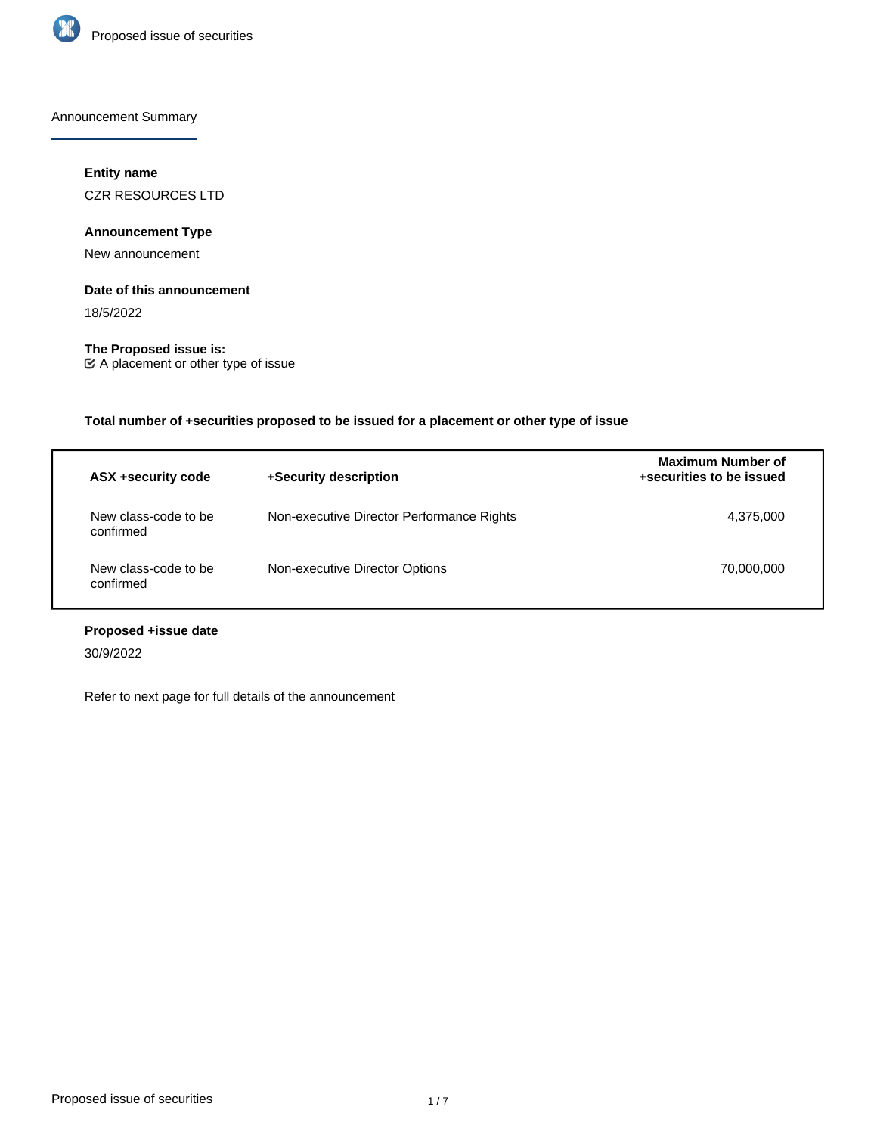

Announcement Summary

## **Entity name**

CZR RESOURCES LTD

## **Announcement Type**

New announcement

## **Date of this announcement**

18/5/2022

**The Proposed issue is:** A placement or other type of issue

**Total number of +securities proposed to be issued for a placement or other type of issue**

| ASX +security code                | +Security description                     | <b>Maximum Number of</b><br>+securities to be issued |
|-----------------------------------|-------------------------------------------|------------------------------------------------------|
| New class-code to be<br>confirmed | Non-executive Director Performance Rights | 4,375,000                                            |
| New class-code to be<br>confirmed | Non-executive Director Options            | 70,000,000                                           |

# **Proposed +issue date**

30/9/2022

Refer to next page for full details of the announcement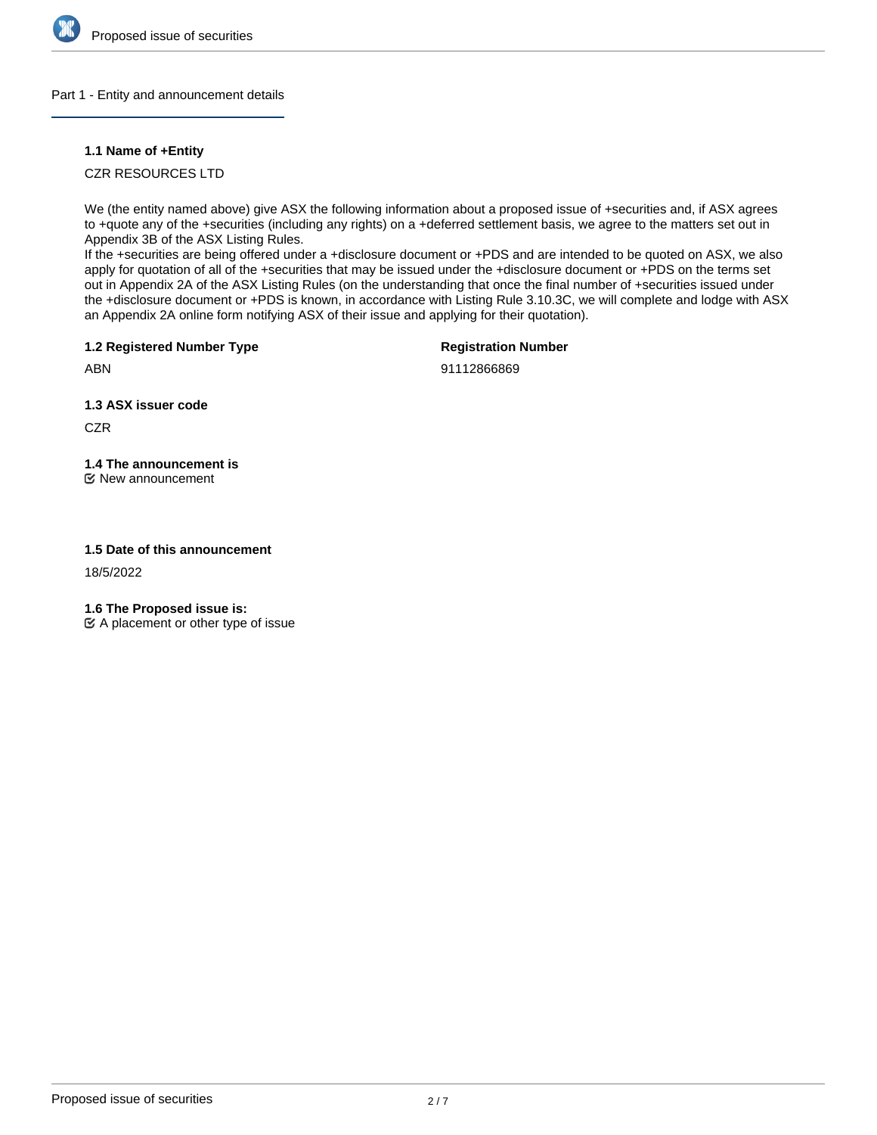

## Part 1 - Entity and announcement details

## **1.1 Name of +Entity**

CZR RESOURCES LTD

We (the entity named above) give ASX the following information about a proposed issue of +securities and, if ASX agrees to +quote any of the +securities (including any rights) on a +deferred settlement basis, we agree to the matters set out in Appendix 3B of the ASX Listing Rules.

If the +securities are being offered under a +disclosure document or +PDS and are intended to be quoted on ASX, we also apply for quotation of all of the +securities that may be issued under the +disclosure document or +PDS on the terms set out in Appendix 2A of the ASX Listing Rules (on the understanding that once the final number of +securities issued under the +disclosure document or +PDS is known, in accordance with Listing Rule 3.10.3C, we will complete and lodge with ASX an Appendix 2A online form notifying ASX of their issue and applying for their quotation).

**1.2 Registered Number Type**

**Registration Number**

ABN

91112866869

**1.3 ASX issuer code**

**CZR** 

# **1.4 The announcement is**

New announcement

## **1.5 Date of this announcement**

18/5/2022

**1.6 The Proposed issue is:**

 $\mathfrak{C}$  A placement or other type of issue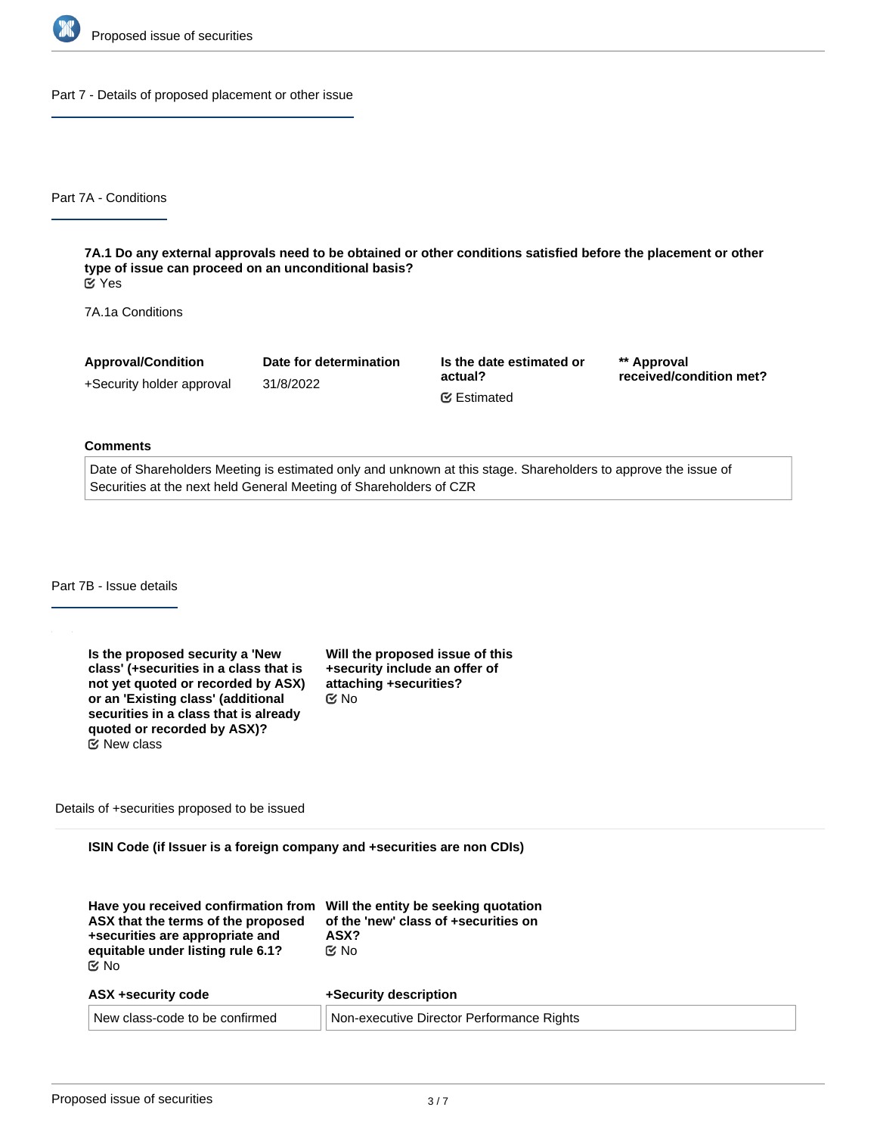

Part 7 - Details of proposed placement or other issue

Part 7A - Conditions

**7A.1 Do any external approvals need to be obtained or other conditions satisfied before the placement or other type of issue can proceed on an unconditional basis?** Yes

7A.1a Conditions

**Approval/Condition** +Security holder approval **Date for determination** 31/8/2022 **Is the date estimated or actual? \*\* Approval received/condition met?** Estimated

#### **Comments**

Date of Shareholders Meeting is estimated only and unknown at this stage. Shareholders to approve the issue of Securities at the next held General Meeting of Shareholders of CZR

Part 7B - Issue details

**Is the proposed security a 'New class' (+securities in a class that is not yet quoted or recorded by ASX) or an 'Existing class' (additional securities in a class that is already quoted or recorded by ASX)? Will the proposed issue of this +security include an offer of attaching +securities?** No New class

Details of +securities proposed to be issued

**ISIN Code (if Issuer is a foreign company and +securities are non CDIs)**

| Have you received confirmation from<br>ASX that the terms of the proposed<br>+securities are appropriate and<br>equitable under listing rule 6.1?<br>় No | Will the entity be seeking quotation<br>of the 'new' class of +securities on<br>ASX?<br>় No |
|-----------------------------------------------------------------------------------------------------------------------------------------------------------|----------------------------------------------------------------------------------------------|
| ASX +security code                                                                                                                                        | +Security description                                                                        |
| New class-code to be confirmed                                                                                                                            | Non-executive Director Performance Rights                                                    |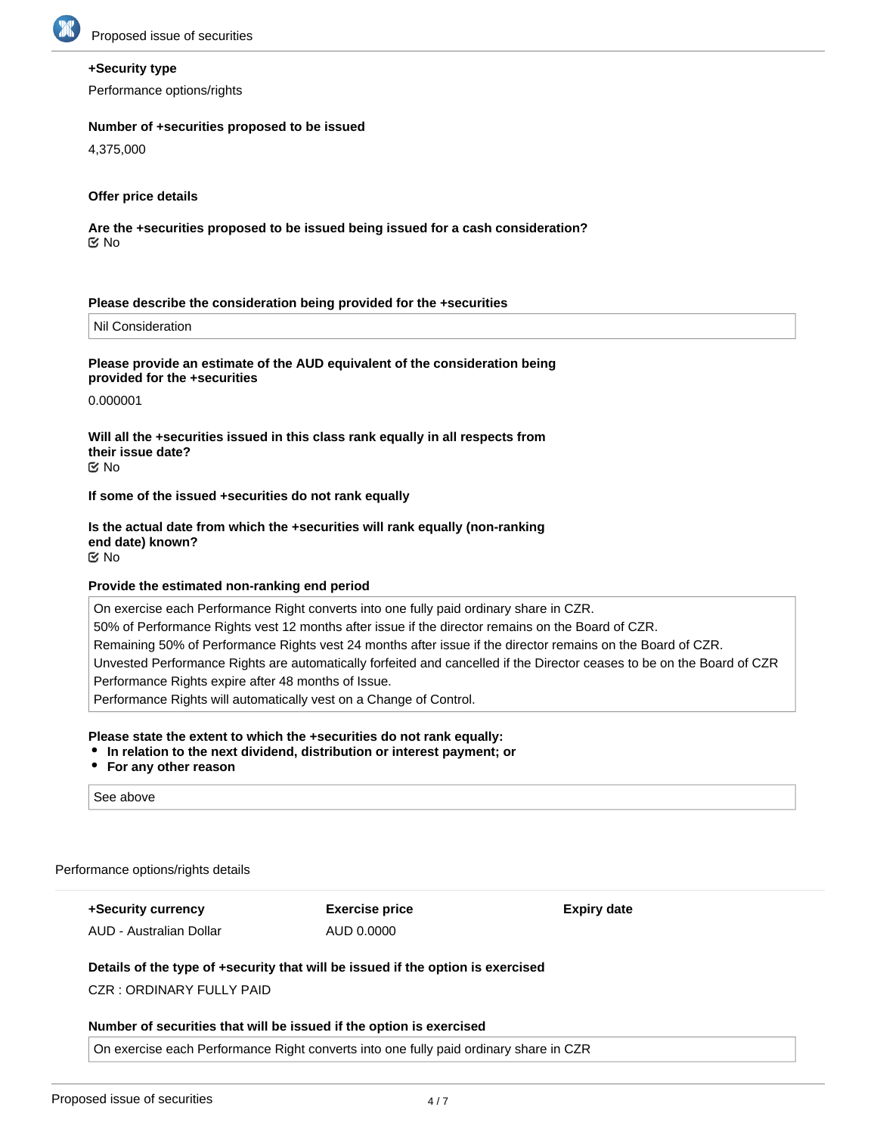

## **+Security type**

Performance options/rights

#### **Number of +securities proposed to be issued**

4,375,000

## **Offer price details**

**Are the +securities proposed to be issued being issued for a cash consideration?** No

#### **Please describe the consideration being provided for the +securities**

Nil Consideration

## **Please provide an estimate of the AUD equivalent of the consideration being provided for the +securities**

0.000001

**Will all the +securities issued in this class rank equally in all respects from their issue date?** No

#### **If some of the issued +securities do not rank equally**

# **Is the actual date from which the +securities will rank equally (non-ranking end date) known?**

No

## **Provide the estimated non-ranking end period**

On exercise each Performance Right converts into one fully paid ordinary share in CZR. 50% of Performance Rights vest 12 months after issue if the director remains on the Board of CZR. Remaining 50% of Performance Rights vest 24 months after issue if the director remains on the Board of CZR. Unvested Performance Rights are automatically forfeited and cancelled if the Director ceases to be on the Board of CZR Performance Rights expire after 48 months of Issue. Performance Rights will automatically vest on a Change of Control.

## **Please state the extent to which the +securities do not rank equally:**

- **In relation to the next dividend, distribution or interest payment; or**
- **For any other reason**

See above

Performance options/rights details

**+Security currency** AUD - Australian Dollar **Exercise price** AUD 0.0000

**Expiry date**

## **Details of the type of +security that will be issued if the option is exercised**

CZR : ORDINARY FULLY PAID

#### **Number of securities that will be issued if the option is exercised**

On exercise each Performance Right converts into one fully paid ordinary share in CZR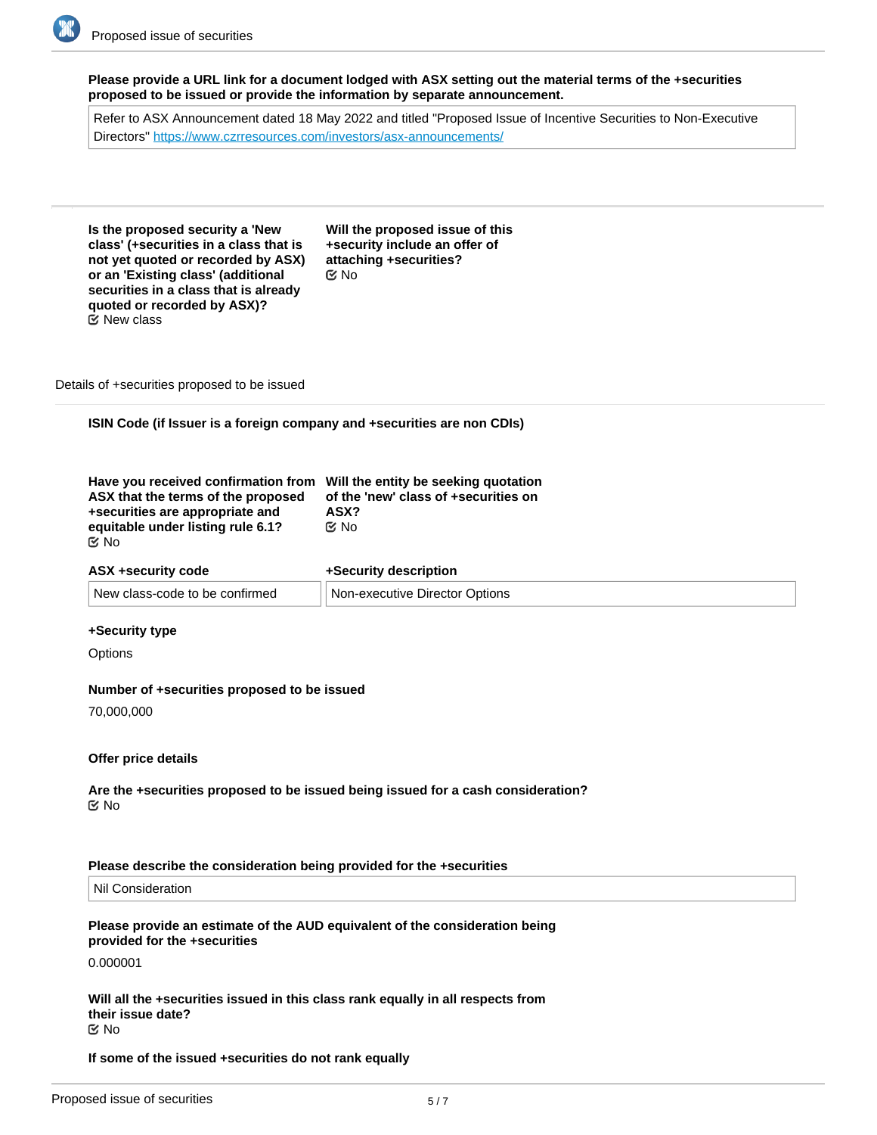**Please provide a URL link for a document lodged with ASX setting out the material terms of the +securities proposed to be issued or provide the information by separate announcement.**

Refer to ASX Announcement dated 18 May 2022 and titled "Proposed Issue of Incentive Securities to Non-Executive Directors"<https://www.czrresources.com/investors/asx-announcements/>

**Is the proposed security a 'New class' (+securities in a class that is not yet quoted or recorded by ASX) or an 'Existing class' (additional securities in a class that is already quoted or recorded by ASX)?** New class

**Will the proposed issue of this +security include an offer of attaching +securities?** No

Details of +securities proposed to be issued

**ISIN Code (if Issuer is a foreign company and +securities are non CDIs)**

| Have you received confirmation from Will the entity be seeking quotation<br>ASX that the terms of the proposed<br>+securities are appropriate and | of the 'new' class of +securities on<br>ASX? |
|---------------------------------------------------------------------------------------------------------------------------------------------------|----------------------------------------------|
| equitable under listing rule 6.1?                                                                                                                 | t⊻ No                                        |
| <b>Mo</b>                                                                                                                                         |                                              |

#### **ASX +security code**

| <b>New</b>   | <b>Jotions</b> |
|--------------|----------------|
| " class-code | <b>Non</b>     |
| ≏ontirmeo    | . Director     |
| ∖⊓∩ ne ∩     | `n-executive   |

**+Security description**

## **+Security type**

**Options** 

#### **Number of +securities proposed to be issued**

70,000,000

#### **Offer price details**

**Are the +securities proposed to be issued being issued for a cash consideration?** No

### **Please describe the consideration being provided for the +securities**

Nil Consideration

#### **Please provide an estimate of the AUD equivalent of the consideration being provided for the +securities**

0.000001

**Will all the +securities issued in this class rank equally in all respects from their issue date?** No

#### **If some of the issued +securities do not rank equally**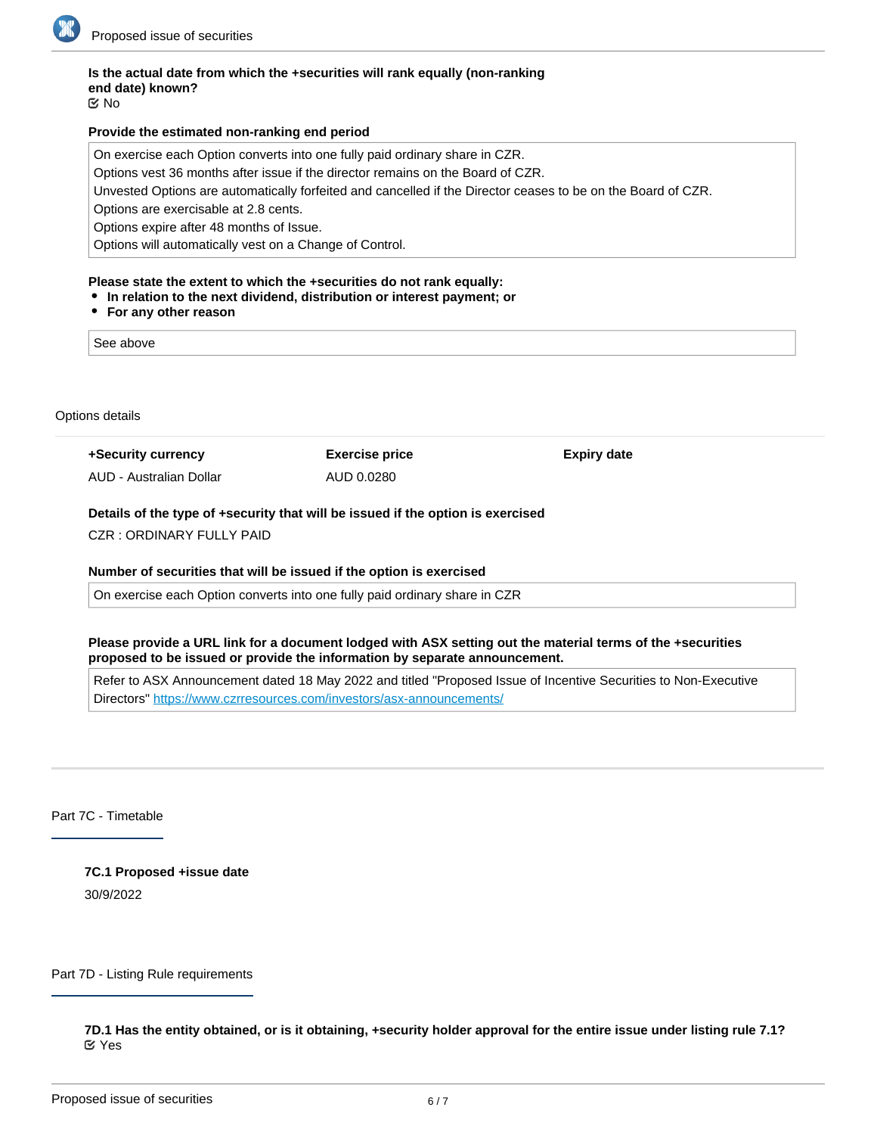

# **Is the actual date from which the +securities will rank equally (non-ranking end date) known?**

No

## **Provide the estimated non-ranking end period**

On exercise each Option converts into one fully paid ordinary share in CZR.

Options vest 36 months after issue if the director remains on the Board of CZR.

Unvested Options are automatically forfeited and cancelled if the Director ceases to be on the Board of CZR.

Options are exercisable at 2.8 cents.

Options expire after 48 months of Issue.

Options will automatically vest on a Change of Control.

## **Please state the extent to which the +securities do not rank equally:**

- **In relation to the next dividend, distribution or interest payment; or**
- **For any other reason**

See above

Options details

**+Security currency** AUD - Australian Dollar **Exercise price** AUD 0.0280

**Expiry date**

## **Details of the type of +security that will be issued if the option is exercised**

CZR : ORDINARY FULLY PAID

## **Number of securities that will be issued if the option is exercised**

On exercise each Option converts into one fully paid ordinary share in CZR

## **Please provide a URL link for a document lodged with ASX setting out the material terms of the +securities proposed to be issued or provide the information by separate announcement.**

Refer to ASX Announcement dated 18 May 2022 and titled "Proposed Issue of Incentive Securities to Non-Executive Directors"<https://www.czrresources.com/investors/asx-announcements/>

Part 7C - Timetable

**7C.1 Proposed +issue date** 30/9/2022

Part 7D - Listing Rule requirements

**7D.1 Has the entity obtained, or is it obtaining, +security holder approval for the entire issue under listing rule 7.1?** Yes

**7D.1a Date of meeting or proposed meeting to approve the issue under listing rule 7.1**